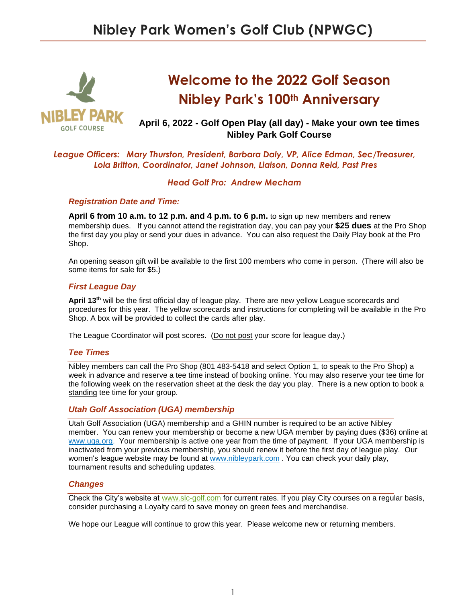

# **Welcome to the 2022 Golf Season Nibley Park's 100th Anniversary**

# **April 6, 2022 - Golf Open Play (all day) - Make your own tee times Nibley Park Golf Course**

## *League Officers: Mary Thurston, President, Barbara Daly, VP, Alice Edman, Sec/Treasurer, Lola Britton, Coordinator, Janet Johnson, Liaison, Donna Reid, Past Pres*

#### *Head Golf Pro: Andrew Mecham*

#### *Registration Date and Time:*

**April 6 from 10 a.m. to 12 p.m. and 4 p.m. to 6 p.m.** to sign up new members and renew membership dues. If you cannot attend the registration day, you can pay your **\$25 dues** at the Pro Shop the first day you play or send your dues in advance. You can also request the Daily Play book at the Pro Shop.

An opening season gift will be available to the first 100 members who come in person. (There will also be some items for sale for \$5.)

#### *First League Day*

April 13<sup>th</sup> will be the first official day of league play. There are new yellow League scorecards and procedures for this year. The yellow scorecards and instructions for completing will be available in the Pro Shop. A box will be provided to collect the cards after play.

The League Coordinator will post scores. (Do not post your score for league day.)

#### *Tee Times*

Nibley members can call the Pro Shop (801 483-5418 and select Option 1, to speak to the Pro Shop) a week in advance and reserve a tee time instead of booking online. You may also reserve your tee time for the following week on the reservation sheet at the desk the day you play. There is a new option to book a standing tee time for your group.

#### *Utah Golf Association (UGA) membership*

Utah Golf Association (UGA) membership and a GHIN number is required to be an active Nibley member. You can renew your membership or become a new UGA member by paying dues (\$36) online at [www.uga.org.](about:blank) Your membership is active one year from the time of payment. If your UGA membership is inactivated from your previous membership, you should renew it before the first day of league play. Our women's league website may be found at [www.nibleypark.com](about:blank) . You can check your daily play, tournament results and scheduling updates.

#### *Changes*

Check the City's website at [www.slc-golf.com](about:blank) for current rates. If you play City courses on a regular basis, consider purchasing a Loyalty card to save money on green fees and merchandise.

We hope our League will continue to grow this year. Please welcome new or returning members.